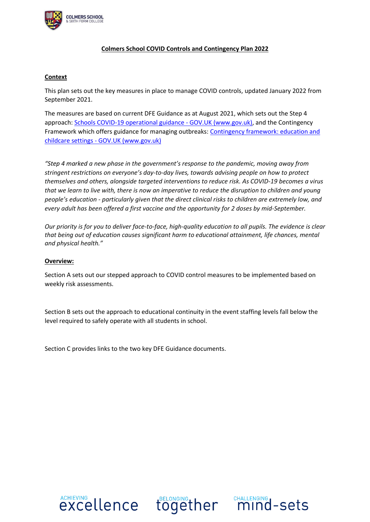

## **Colmers School COVID Controls and Contingency Plan 2022**

## **Context**

This plan sets out the key measures in place to manage COVID controls, updated January 2022 from September 2021.

The measures are based on current DFE Guidance as at August 2021, which sets out the Step 4 approach[: Schools COVID-19 operational guidance -](https://www.gov.uk/government/publications/actions-for-schools-during-the-coronavirus-outbreak/schools-covid-19-operational-guidance) GOV.UK (www.gov.uk), and the Contingency Framework which offers guidance for managing outbreaks: Contingency framework: education and childcare settings - [GOV.UK \(www.gov.uk\)](https://www.gov.uk/government/publications/coronavirus-covid-19-local-restrictions-in-education-and-childcare-settings/contingency-framework-education-and-childcare-settings)

*"Step 4 marked a new phase in the government's response to the pandemic, moving away from stringent restrictions on everyone's day-to-day lives, towards advising people on how to protect themselves and others, alongside targeted interventions to reduce risk. As COVID-19 becomes a virus that we learn to live with, there is now an imperative to reduce the disruption to children and young people's education - particularly given that the direct clinical risks to children are extremely low, and every adult has been offered a first vaccine and the opportunity for 2 doses by mid-September.*

*Our priority is for you to deliver face-to-face, high-quality education to all pupils. The evidence is clear that being out of education causes significant harm to educational attainment, life chances, mental and physical health."*

## **Overview:**

Section A sets out our stepped approach to COVID control measures to be implemented based on weekly risk assessments.

Section B sets out the approach to educational continuity in the event staffing levels fall below the level required to safely operate with all students in school.

Section C provides links to the two key DFE Guidance documents.





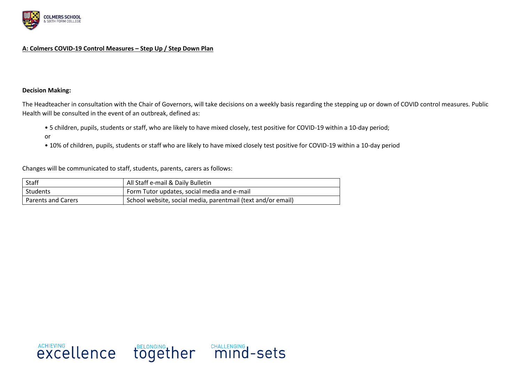

### **A: Colmers COVID-19 Control Measures – Step Up / Step Down Plan**

#### **Decision Making:**

The Headteacher in consultation with the Chair of Governors, will take decisions on a weekly basis regarding the stepping up or down of COVID control measures. Public Health will be consulted in the event of an outbreak, defined as:

- 5 children, pupils, students or staff, who are likely to have mixed closely, test positive for COVID-19 within a 10-day period;
- or
- 10% of children, pupils, students or staff who are likely to have mixed closely test positive for COVID-19 within a 10-day period

Changes will be communicated to staff, students, parents, carers as follows:

| Staff                     | All Staff e-mail & Daily Bulletin                            |
|---------------------------|--------------------------------------------------------------|
| <b>Students</b>           | Form Tutor updates, social media and e-mail                  |
| <b>Parents and Carers</b> | School website, social media, parentmail (text and/or email) |

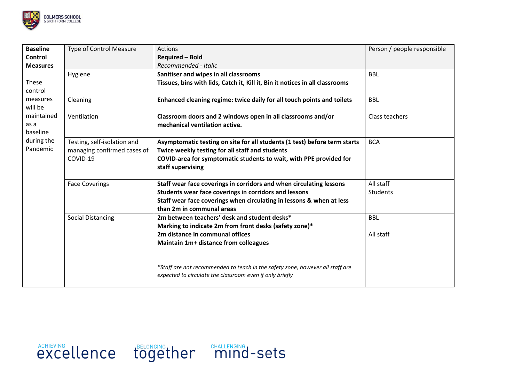

| <b>Baseline</b>                | <b>Type of Control Measure</b>                                                                                                                                                                                                                                                                    | <b>Actions</b>                                                                                                                            | Person / people responsible |
|--------------------------------|---------------------------------------------------------------------------------------------------------------------------------------------------------------------------------------------------------------------------------------------------------------------------------------------------|-------------------------------------------------------------------------------------------------------------------------------------------|-----------------------------|
| Control                        |                                                                                                                                                                                                                                                                                                   | <b>Required - Bold</b>                                                                                                                    |                             |
| <b>Measures</b>                |                                                                                                                                                                                                                                                                                                   | Recommended - Italic                                                                                                                      |                             |
|                                | Hygiene                                                                                                                                                                                                                                                                                           | Sanitiser and wipes in all classrooms                                                                                                     | <b>BBL</b>                  |
| These<br>control               |                                                                                                                                                                                                                                                                                                   | Tissues, bins with lids, Catch it, Kill it, Bin it notices in all classrooms                                                              |                             |
| measures<br>will be            | Cleaning                                                                                                                                                                                                                                                                                          | Enhanced cleaning regime: twice daily for all touch points and toilets                                                                    | <b>BBL</b>                  |
| maintained<br>as a<br>baseline | Ventilation                                                                                                                                                                                                                                                                                       | Classroom doors and 2 windows open in all classrooms and/or<br>mechanical ventilation active.                                             | Class teachers              |
| during the<br>Pandemic         | Testing, self-isolation and<br>Asymptomatic testing on site for all students (1 test) before term starts<br>managing confirmed cases of<br>Twice weekly testing for all staff and students<br>COVID-19<br>COVID-area for symptomatic students to wait, with PPE provided for<br>staff supervising |                                                                                                                                           | <b>BCA</b>                  |
|                                | <b>Face Coverings</b>                                                                                                                                                                                                                                                                             | Staff wear face coverings in corridors and when circulating lessons                                                                       | All staff                   |
|                                |                                                                                                                                                                                                                                                                                                   | Students wear face coverings in corridors and lessons                                                                                     | Students                    |
|                                |                                                                                                                                                                                                                                                                                                   | Staff wear face coverings when circulating in lessons & when at less<br>than 2m in communal areas                                         |                             |
|                                | <b>Social Distancing</b>                                                                                                                                                                                                                                                                          | 2m between teachers' desk and student desks*                                                                                              | <b>BBL</b>                  |
|                                |                                                                                                                                                                                                                                                                                                   | Marking to indicate 2m from front desks (safety zone)*                                                                                    |                             |
|                                |                                                                                                                                                                                                                                                                                                   | 2m distance in communal offices                                                                                                           | All staff                   |
|                                |                                                                                                                                                                                                                                                                                                   | Maintain 1m+ distance from colleagues                                                                                                     |                             |
|                                |                                                                                                                                                                                                                                                                                                   | *Staff are not recommended to teach in the safety zone, however all staff are<br>expected to circulate the classroom even if only briefly |                             |

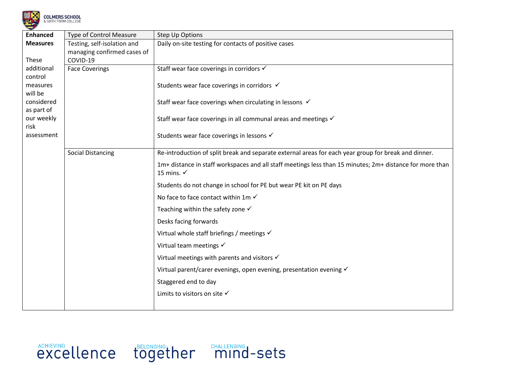

|  | <b>OLMERS SCHOOL</b> |  |  |  |  |
|--|----------------------|--|--|--|--|
|  | SIXTH FORM COLLEGE   |  |  |  |  |

| <b>Enhanced</b>     | <b>Type of Control Measure</b> | <b>Step Up Options</b>                                                                                   |
|---------------------|--------------------------------|----------------------------------------------------------------------------------------------------------|
| <b>Measures</b>     | Testing, self-isolation and    | Daily on-site testing for contacts of positive cases                                                     |
|                     | managing confirmed cases of    |                                                                                                          |
| These               | COVID-19                       |                                                                                                          |
| additional          | <b>Face Coverings</b>          | Staff wear face coverings in corridors √                                                                 |
| control             |                                |                                                                                                          |
| measures<br>will be |                                | Students wear face coverings in corridors √                                                              |
| considered          |                                | Staff wear face coverings when circulating in lessons √                                                  |
| as part of          |                                |                                                                                                          |
| our weekly          |                                | Staff wear face coverings in all communal areas and meetings √                                           |
| risk                |                                |                                                                                                          |
| assessment          |                                | Students wear face coverings in lessons √                                                                |
|                     |                                |                                                                                                          |
|                     | <b>Social Distancing</b>       | Re-introduction of split break and separate external areas for each year group for break and dinner.     |
|                     |                                | 1m+ distance in staff workspaces and all staff meetings less than 15 minutes; 2m+ distance for more than |
|                     |                                | 15 mins. $\checkmark$                                                                                    |
|                     |                                | Students do not change in school for PE but wear PE kit on PE days                                       |
|                     |                                | No face to face contact within 1m $\checkmark$                                                           |
|                     |                                | Teaching within the safety zone $\checkmark$                                                             |
|                     |                                | Desks facing forwards                                                                                    |
|                     |                                | Virtual whole staff briefings / meetings $\checkmark$                                                    |
|                     |                                | Virtual team meetings $\checkmark$                                                                       |
|                     |                                | Virtual meetings with parents and visitors $\checkmark$                                                  |
|                     |                                | Virtual parent/carer evenings, open evening, presentation evening √                                      |
|                     |                                | Staggered end to day                                                                                     |
|                     |                                | Limits to visitors on site √                                                                             |
|                     |                                |                                                                                                          |

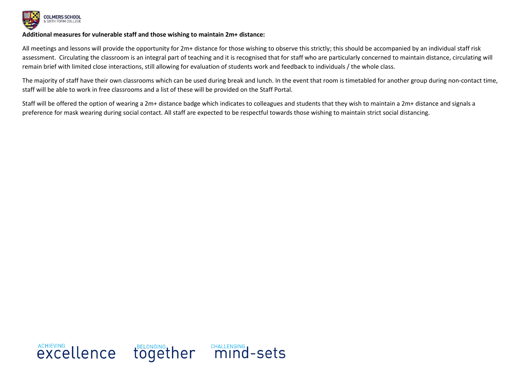

#### **Additional measures for vulnerable staff and those wishing to maintain 2m+ distance:**

All meetings and lessons will provide the opportunity for 2m+ distance for those wishing to observe this strictly; this should be accompanied by an individual staff risk assessment. Circulating the classroom is an integral part of teaching and it is recognised that for staff who are particularly concerned to maintain distance, circulating will remain brief with limited close interactions, still allowing for evaluation of students work and feedback to individuals / the whole class.

The majority of staff have their own classrooms which can be used during break and lunch. In the event that room is timetabled for another group during non-contact time, staff will be able to work in free classrooms and a list of these will be provided on the Staff Portal.

Staff will be offered the option of wearing a 2m+ distance badge which indicates to colleagues and students that they wish to maintain a 2m+ distance and signals a preference for mask wearing during social contact. All staff are expected to be respectful towards those wishing to maintain strict social distancing.

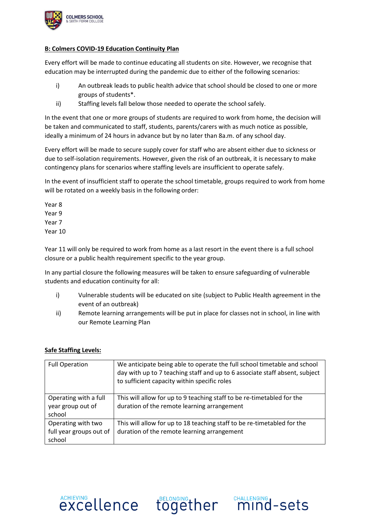

## **B: Colmers COVID-19 Education Continuity Plan**

Every effort will be made to continue educating all students on site. However, we recognise that education may be interrupted during the pandemic due to either of the following scenarios:

- i) An outbreak leads to public health advice that school should be closed to one or more groups of students\*.
- ii) Staffing levels fall below those needed to operate the school safely.

In the event that one or more groups of students are required to work from home, the decision will be taken and communicated to staff, students, parents/carers with as much notice as possible, ideally a minimum of 24 hours in advance but by no later than 8a.m. of any school day.

Every effort will be made to secure supply cover for staff who are absent either due to sickness or due to self-isolation requirements. However, given the risk of an outbreak, it is necessary to make contingency plans for scenarios where staffing levels are insufficient to operate safely.

In the event of insufficient staff to operate the school timetable, groups required to work from home will be rotated on a weekly basis in the following order:

Year 8 Year 9 Year 7 Year 10

Year 11 will only be required to work from home as a last resort in the event there is a full school closure or a public health requirement specific to the year group.

In any partial closure the following measures will be taken to ensure safeguarding of vulnerable students and education continuity for all:

- i) Vulnerable students will be educated on site (subject to Public Health agreement in the event of an outbreak)
- ii) Remote learning arrangements will be put in place for classes not in school, in line with our Remote Learning Plan

## **Safe Staffing Levels:**

| <b>Full Operation</b>                                   | We anticipate being able to operate the full school timetable and school<br>day with up to 7 teaching staff and up to 6 associate staff absent, subject<br>to sufficient capacity within specific roles |
|---------------------------------------------------------|---------------------------------------------------------------------------------------------------------------------------------------------------------------------------------------------------------|
| Operating with a full<br>year group out of<br>school    | This will allow for up to 9 teaching staff to be re-timetabled for the<br>duration of the remote learning arrangement                                                                                   |
| Operating with two<br>full year groups out of<br>school | This will allow for up to 18 teaching staff to be re-timetabled for the<br>duration of the remote learning arrangement                                                                                  |

**EXCELLENCE together mind-sets**